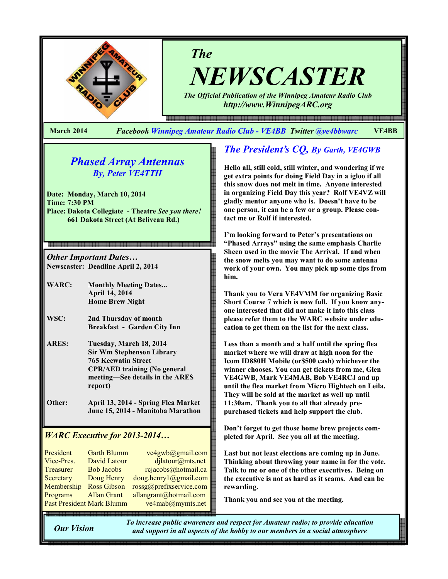

NEWSCASTER

The Official Publication of the Winnipeg Amateur Radio Club http://www.WinnipegARC.org

e en de maar de maan de maan de maan de maan de maan de maan de maan de de de maan de en de de maan de maan de

March 2014 Facebook Winnipeg Amateur Radio Club - VE4BB Twitter @ve4bbwarc VE4BB

The

# Phased Array Antennas By, Peter VE4TTH

Date: Monday, March 10, 2014 Time: 7:30 PM Place: Dakota Collegiate - Theatre See you there! 661 Dakota Street (At Beliveau Rd.)

Other Important Dates… Newscaster: Deadline April 2, 2014

- WARC: Monthly Meeting Dates... April 14, 2014 Home Brew Night
- WSC: 2nd Thursday of month Breakfast - Garden City Inn
- ARES: Tuesday, March 18, 2014 Sir Wm Stephenson Library 765 Keewatin Street CPR/AED training (No general meeting—See details in the ARES report)
- Other: April 13, 2014 Spring Flea Market June 15, 2014 - Manitoba Marathon

## WARC Executive for 2013-2014…

| President                 | <b>Garth Blumm</b> | ve4gwb@gmail.com        |
|---------------------------|--------------------|-------------------------|
| Vice-Pres.                | David Latour       | dilatour@mts.net        |
| Treasurer                 | <b>Bob Jacobs</b>  | rejacobs@hotmail.ca     |
| Secretary                 | Doug Henry         | doug. henry1@gmail.com  |
| Membership                | <b>Ross Gibson</b> | rossg@prefixservice.com |
| Programs                  | <b>Allan Grant</b> | allangrant@hotmail.com  |
| Past President Mark Blumm |                    | ve4mab@mymts.net        |

# The President's CQ, By Garth, VE4GWB

Hello all, still cold, still winter, and wondering if we get extra points for doing Field Day in a igloo if all this snow does not melt in time. Anyone interested in organizing Field Day this year? Rolf VE4VZ will gladly mentor anyone who is. Doesn't have to be one person, it can be a few or a group. Please contact me or Rolf if interested.

I'm looking forward to Peter's presentations on "Phased Arrays" using the same emphasis Charlie Sheen used in the movie The Arrival. If and when the snow melts you may want to do some antenna work of your own. You may pick up some tips from him.

Thank you to Vera VE4VMM for organizing Basic Short Course 7 which is now full. If you know anyone interested that did not make it into this class please refer them to the WARC website under education to get them on the list for the next class.

Less than a month and a half until the spring flea market where we will draw at high noon for the Icom ID880H Mobile (or\$500 cash) whichever the winner chooses. You can get tickets from me, Glen VE4GWB, Mark VE4MAB, Bob VE4RCJ and up until the flea market from Micro Hightech on Leila. They will be sold at the market as well up until 11:30am. Thank you to all that already prepurchased tickets and help support the club.

Don't forget to get those home brew projects completed for April. See you all at the meeting.

Last but not least elections are coming up in June. Thinking about throwing your name in for the vote. Talk to me or one of the other executives. Being on the executive is not as hard as it seams. And can be rewarding.

Thank you and see you at the meeting.

Our Vision

To increase public awareness and respect for Amateur radio; to provide education and support in all aspects of the hobby to our members in a social atmosphere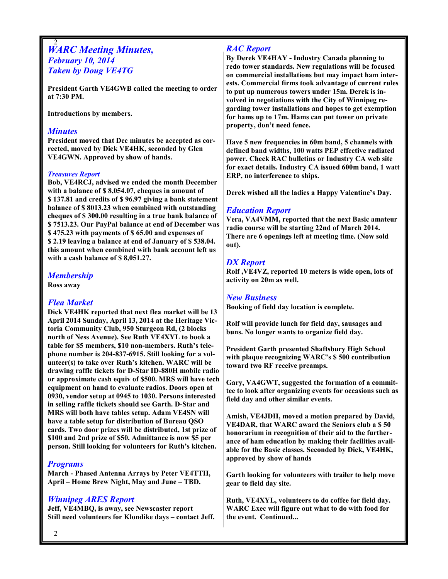#### 2 **WARC Meeting Minutes,** February 10, 2014 Taken by Doug VE4TG

President Garth VE4GWB called the meeting to order at 7:30 PM.

Introductions by members.

#### **Minutes**

President moved that Dec minutes be accepted as corrected, moved by Dick VE4HK, seconded by Glen VE4GWN. Approved by show of hands.

#### Treasures Report

Bob, VE4RCJ, advised we ended the month December with a balance of \$ 8,054.07, cheques in amount of \$ 137.81 and credits of \$ 96.97 giving a bank statement balance of \$ 8013.23 when combined with outstanding cheques of \$ 300.00 resulting in a true bank balance of \$ 7513.23. Our PayPal balance at end of December was \$ 475.23 with payments of \$ 65.00 and expenses of \$ 2.19 leaving a balance at end of January of \$ 538.04. this amount when combined with bank account left us with a cash balance of \$ 8,051.27.

#### Membership

Ross away

#### Flea Market

Dick VE4HK reported that next flea market will be 13 April 2014 Sunday, April 13, 2014 at the Heritage Victoria Community Club, 950 Sturgeon Rd, (2 blocks north of Ness Avenue). See Ruth VE4XYL to book a table for \$5 members, \$10 non-members. Ruth's telephone number is 204-837-6915. Still looking for a volunteer(s) to take over Ruth's kitchen. WARC will be drawing raffle tickets for D-Star ID-880H mobile radio or approximate cash equiv of \$500. MRS will have tech equipment on hand to evaluate radios. Doors open at 0930, vendor setup at 0945 to 1030. Persons interested in selling raffle tickets should see Garth. D-Star and MRS will both have tables setup. Adam VE4SN will have a table setup for distribution of Bureau QSO cards. Two door prizes will be distributed, 1st prize of \$100 and 2nd prize of \$50. Admittance is now \$5 per person. Still looking for volunteers for Ruth's kitchen.

#### Programs

March - Phased Antenna Arrays by Peter VE4TTH, April – Home Brew Night, May and June – TBD.

#### Winnipeg ARES Report

Jeff, VE4MBQ, is away, see Newscaster report Still need volunteers for Klondike days – contact Jeff.

## RAC Report

By Derek VE4HAY - Industry Canada planning to redo tower standards. New regulations will be focused on commercial installations but may impact ham interests. Commercial firms took advantage of current rules to put up numerous towers under 15m. Derek is involved in negotiations with the City of Winnipeg regarding tower installations and hopes to get exemption for hams up to 17m. Hams can put tower on private property, don't need fence.

Have 5 new frequencies in 60m band, 5 channels with defined band widths, 100 watts PEP effective radiated power. Check RAC bulletins or Industry CA web site for exact details. Industry CA issued 600m band, 1 watt ERP, no interference to ships.

Derek wished all the ladies a Happy Valentine's Day.

## Education Report

Vera, VA4VMM, reported that the next Basic amateur radio course will be starting 22nd of March 2014. There are 6 openings left at meeting time. (Now sold out).

### DX Report

Rolf ,VE4VZ, reported 10 meters is wide open, lots of activity on 20m as well.

#### New Business

Booking of field day location is complete.

Rolf will provide lunch for field day, sausages and buns. No longer wants to organize field day.

President Garth presented Shaftsbury High School with plaque recognizing WARC's \$ 500 contribution toward two RF receive preamps.

Gary, VA4GWT, suggested the formation of a committee to look after organizing events for occasions such as field day and other similar events.

Amish, VE4JDH, moved a motion prepared by David, VE4DAR, that WARC award the Seniors club a \$ 50 honorarium in recognition of their aid to the furtherance of ham education by making their facilities available for the Basic classes. Seconded by Dick, VE4HK, approved by show of hands

Garth looking for volunteers with trailer to help move gear to field day site.

Ruth, VE4XYL, volunteers to do coffee for field day. WARC Exec will figure out what to do with food for the event. Continued...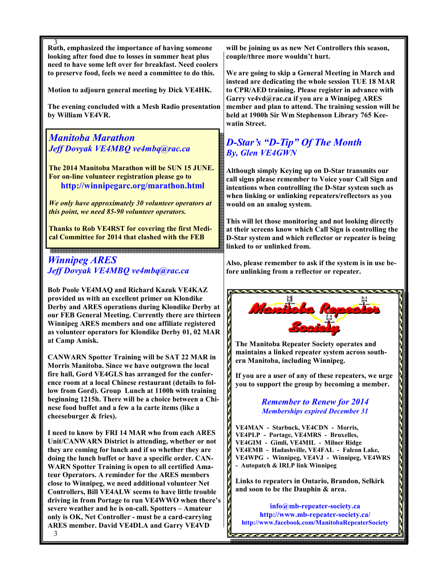3 Ruth, emphasized the importance of having someone looking after food due to losses in summer heat plus need to have some left over for breakfast. Need coolers to preserve food, feels we need a committee to do this.

Motion to adjourn general meeting by Dick VE4HK.

The evening concluded with a Mesh Radio presentation by William VE4VR.

## Manitoba Marathon Jeff Dovyak VE4MBO ve4mba@rac.ca

The 2014 Manitoba Marathon will be SUN 15 JUNE. For on-line volunteer registration please go to http://winnipegarc.org/marathon.html

We only have approximately 30 volunteer operators at this point, we need 85-90 volunteer operators.

Thanks to Rob VE4RST for covering the first Medical Committee for 2014 that clashed with the FEB

# Winnipeg ARES Jeff Dovyak VE4MBQ ve4mbq@rac.ca

.<br>이 2023년 2023년 2023년 2023년 2023년 2023년 2023년 2023년 2023년 2023년 2023년 2023년 2023년 2023년 2023년 2023년 2023년 2023년<br>1030년 2023년 2023년 2023년 2023년 2023년 2023년 2023년 2023년 2023년 2023년 2023년 2023년 2023년 2023년 2023년 2023년 2023년 2

Bob Poole VE4MAQ and Richard Kazuk VE4KAZ provided us with an excellent primer on Klondike Derby and ARES operations during Klondike Derby at our FEB General Meeting. Currently there are thirteen Winnipeg ARES members and one affiliate registered as volunteer operators for Klondike Derby 01, 02 MAR at Camp Amisk.

CANWARN Spotter Training will be SAT 22 MAR in Morris Manitoba. Since we have outgrown the local fire hall, Gord VE4GLS has arranged for the conference room at a local Chinese restaurant (details to follow from Gord). Group Lunch at 1100h with training beginning 1215h. There will be a choice between a Chinese food buffet and a few a la carte items (like a cheeseburger & fries).

3 I need to know by FRI 14 MAR who from each ARES Unit/CANWARN District is attending, whether or not they are coming for lunch and if so whether they are doing the lunch buffet or have a specific order. CAN-WARN Spotter Training is open to all certified Amateur Operators. A reminder for the ARES members close to Winnipeg, we need additional volunteer Net Controllers, Bill VE4ALW seems to have little trouble driving in from Portage to run VE4WWO when there's severe weather and he is on-call. Spotters – Amateur only is OK, Net Controller - must be a card-carrying ARES member. David VE4DLA and Garry VE4VD

will be joining us as new Net Controllers this season, couple/three more wouldn't hurt.

We are going to skip a General Meeting in March and instead are dedicating the whole session TUE 18 MAR to CPR/AED training. Please register in advance with Garry ve4vd@rac.ca if you are a Winnipeg ARES member and plan to attend. The training session will be held at 1900h Sir Wm Stephenson Library 765 Keewatin Street.

# D-Star's "D-Tip" Of The Month By, Glen VE4GWN

Although simply Keying up on D-Star transmits our call signs please remember to Voice your Call Sign and intentions when controlling the D-Star system such as when linking or unlinking repeaters/reflectors as you would on an analog system.

This will let those monitoring and not looking directly at their screens know which Call Sign is controlling the D-Star system and which reflector or repeater is being linked to or unlinked from.

Also, please remember to ask if the system is in use before unlinking from a reflector or repeater.



The Manitoba Repeater Society operates and maintains a linked repeater system across southern Manitoba, including Winnipeg.

If you are a user of any of these repeaters, we urge you to support the group by becoming a member.

> Remember to Renew for 2014 Memberships expired December 31

VE4MAN - Starbuck, VE4CDN - Morris, VE4PLP - Portage, VE4MRS - Bruxelles, VE4GIM - Gimli, VE4MIL - Milner Ridge VE4EMB - Hadashville, VE4FAL - Falcon Lake, VE4WPG - Winnipeg, VE4VJ - Winnipeg, VE4WRS - Autopatch & IRLP link Winnipeg

Links to repeaters in Ontario, Brandon, Selkirk and soon to be the Dauphin & area.

info@mb-repeater-society.ca http://www.mb-repeater-society.ca/ http://www.facebook.com/ManitobaRepeaterSociety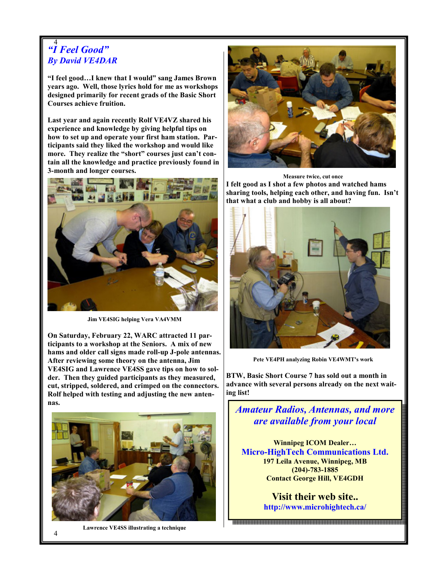#### 4 "I Feel Good" By David VE4DAR

"I feel good…I knew that I would" sang James Brown years ago. Well, those lyrics hold for me as workshops designed primarily for recent grads of the Basic Short Courses achieve fruition.

Last year and again recently Rolf VE4VZ shared his experience and knowledge by giving helpful tips on how to set up and operate your first ham station. Participants said they liked the workshop and would like more. They realize the "short" courses just can't contain all the knowledge and practice previously found in 3-month and longer courses.



Jim VE4SIG helping Vera VA4VMM

On Saturday, February 22, WARC attracted 11 participants to a workshop at the Seniors. A mix of new hams and older call signs made roll-up J-pole antennas. After reviewing some theory on the antenna, Jim VE4SIG and Lawrence VE4SS gave tips on how to solder. Then they guided participants as they measured, cut, stripped, soldered, and crimped on the connectors. Rolf helped with testing and adjusting the new antennas.





Lawrence VE4SS illustrating a technique



Measure twice, cut once I felt good as I shot a few photos and watched hams sharing tools, helping each other, and having fun. Isn't that what a club and hobby is all about?



Pete VE4PH analyzing Robin VE4WMT's work

BTW, Basic Short Course 7 has sold out a month in advance with several persons already on the next waiting list!

Amateur Radios, Antennas, and more are available from your local

Winnipeg ICOM Dealer… Micro-HighTech Communications Ltd. 197 Leila Avenue, Winnipeg, MB (204)-783-1885 Contact George Hill, VE4GDH

> Visit their web site.. http://www.microhightech.ca/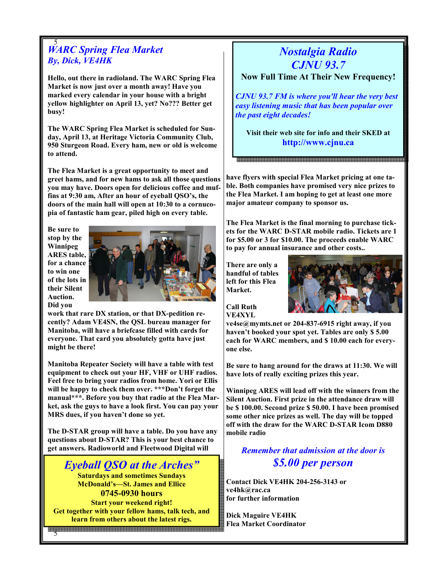#### 5 WARC Spring Flea Market By, Dick, VE4HK

Hello, out there in radioland. The WARC Spring Flea Market is now just over a month away! Have you marked every calendar in your house with a bright yellow highlighter on April 13, yet? No??? Better get busy!

The WARC Spring Flea Market is scheduled for Sunday, April 13, at Heritage Victoria Community Club, 950 Sturgeon Road. Every ham, new or old is welcome to attend.

The Flea Market is a great opportunity to meet and greet hams, and for new hams to ask all those questions you may have. Doors open for delicious coffee and muffins at 9:30 am, After an hour of eyeball QSO's, the doors of the main hall will open at 10:30 to a cornucopia of fantastic ham gear, piled high on every table.

Be sure to stop by the Winnipeg ARES table, for a chance to win one of the lots in their Silent Auction. Did you



work that rare DX station, or that DX-pedition recently? Adam VE4SN, the QSL bureau manager for Manitoba, will have a briefcase filled with cards for everyone. That card you absolutely gotta have just might be there!

Manitoba Repeater Society will have a table with test equipment to check out your HF, VHF or UHF radios. Feel free to bring your radios from home. Yori or Ellis will be happy to check them over. \*\*\*Don't forget the manual\*\*\*. Before you buy that radio at the Flea Market, ask the guys to have a look first. You can pay your MRS dues, if you haven't done so yet.

The D-STAR group will have a table. Do you have any questions about D-STAR? This is your best chance to get answers. Radioworld and Fleetwood Digital will

# Eyeball QSO at the Arches"

Saturdays and sometimes Sundays McDonald's—St. James and Ellice 0745-0930 hours Start your weekend right! Get together with your fellow hams, talk tech, and learn from others about the latest rigs.

5

# Nostalgia Radio CJNU 93.7

Now Full Time At Their New Frequency!

CJNU 93.7 FM is where you'll hear the very best easy listening music that has been popular over the past eight decades!

Visit their web site for info and their SKED at http://www.cjnu.ca

have flyers with special Flea Market pricing at one table. Both companies have promised very nice prizes to the Flea Market. I am hoping to get at least one more major amateur company to sponsor us.

The Flea Market is the final morning to purchase tickets for the WARC D-STAR mobile radio. Tickets are 1 for \$5.00 or 3 for \$10.00. The proceeds enable WARC to pay for annual insurance and other costs..

There are only a handful of tables left for this Flea Market.



Call Ruth VE4XYL

ve4se@mymts.net or 204-837-6915 right away, if you haven't booked your spot yet. Tables are only \$ 5.00 each for WARC members, and \$ 10.00 each for everyone else.

Be sure to hang around for the draws at 11:30. We will have lots of really exciting prizes this year.

Winnipeg ARES will lead off with the winners from the Silent Auction. First prize in the attendance draw will be \$ 100.00. Second prize \$ 50.00. I have been promised some other nice prizes as well. The day will be topped off with the draw for the WARC D-STAR Icom D880 mobile radio

Remember that admission at the door is \$5.00 per person

Contact Dick VE4HK 204-256-3143 or ve4hk@rac.ca for further information

Dick Maguire VE4HK Flea Market Coordinator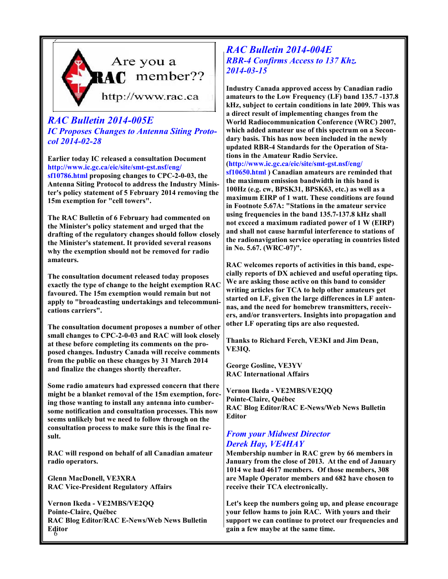

# RAC Bulletin 2014-005E IC Proposes Changes to Antenna Siting Protocol 2014-02-28

Earlier today IC released a consultation Document http://www.ic.gc.ca/eic/site/smt-gst.nsf/eng/ sf10786.html proposing changes to CPC-2-0-03, the Antenna Siting Protocol to address the Industry Minister's policy statement of 5 February 2014 removing the 15m exemption for "cell towers".

The RAC Bulletin of 6 February had commented on the Minister's policy statement and urged that the drafting of the regulatory changes should follow closely the Minister's statement. It provided several reasons why the exemption should not be removed for radio amateurs.

The consultation document released today proposes exactly the type of change to the height exemption RAC favoured. The 15m exemption would remain but not apply to "broadcasting undertakings and telecommunications carriers".

The consultation document proposes a number of other small changes to CPC-2-0-03 and RAC will look closely at these before completing its comments on the proposed changes. Industry Canada will receive comments from the public on these changes by 31 March 2014 and finalize the changes shortly thereafter.

Some radio amateurs had expressed concern that there might be a blanket removal of the 15m exemption, forcing those wanting to install any antenna into cumbersome notification and consultation processes. This now seems unlikely but we need to follow through on the consultation process to make sure this is the final result.

RAC will respond on behalf of all Canadian amateur radio operators.

Glenn MacDonell, VE3XRA RAC Vice-President Regulatory Affairs

6 Editor Vernon Ikeda - VE2MBS/VE2QQ Pointe-Claire, Québec RAC Blog Editor/RAC E-News/Web News Bulletin

## RAC Bulletin 2014-004E RBR-4 Confirms Access to 137 Khz. 2014-03-15

Industry Canada approved access by Canadian radio amateurs to the Low Frequency (LF) band 135.7 -137.8 kHz, subject to certain conditions in late 2009. This was a direct result of implementing changes from the World Radiocommunication Conference (WRC) 2007, which added amateur use of this spectrum on a Secondary basis. This has now been included in the newly updated RBR-4 Standards for the Operation of Stations in the Amateur Radio Service.

(http://www.ic.gc.ca/eic/site/smt-gst.nsf/eng/

sf10650.html ) Canadian amateurs are reminded that the maximum emission bandwidth in this band is 100Hz (e.g. cw, BPSK31, BPSK63, etc.) as well as a maximum EIRP of 1 watt. These conditions are found in Footnote 5.67A: "Stations in the amateur service using frequencies in the band 135.7-137.8 kHz shall not exceed a maximum radiated power of 1 W (EIRP) and shall not cause harmful interference to stations of the radionavigation service operating in countries listed in No. 5.67. (WRC-07)".

RAC welcomes reports of activities in this band, especially reports of DX achieved and useful operating tips. We are asking those active on this band to consider writing articles for TCA to help other amateurs get started on LF, given the large differences in LF antennas, and the need for homebrew transmitters, receivers, and/or transverters. Insights into propagation and other LF operating tips are also requested.

Thanks to Richard Ferch, VE3KI and Jim Dean, VE3IQ.

George Gosline, VE3YV RAC International Affairs

Vernon Ikeda - VE2MBS/VE2QQ Pointe-Claire, Québec RAC Blog Editor/RAC E-News/Web News Bulletin **Editor** 

# From your Midwest Director Derek Hay, VE4HAY

Membership number in RAC grew by 66 members in January from the close of 2013. At the end of January 1014 we had 4617 members. Of those members, 308 are Maple Operator members and 682 have chosen to receive their TCA electronically.

Let's keep the numbers going up, and please encourage your fellow hams to join RAC. With yours and their support we can continue to protect our frequencies and gain a few maybe at the same time.